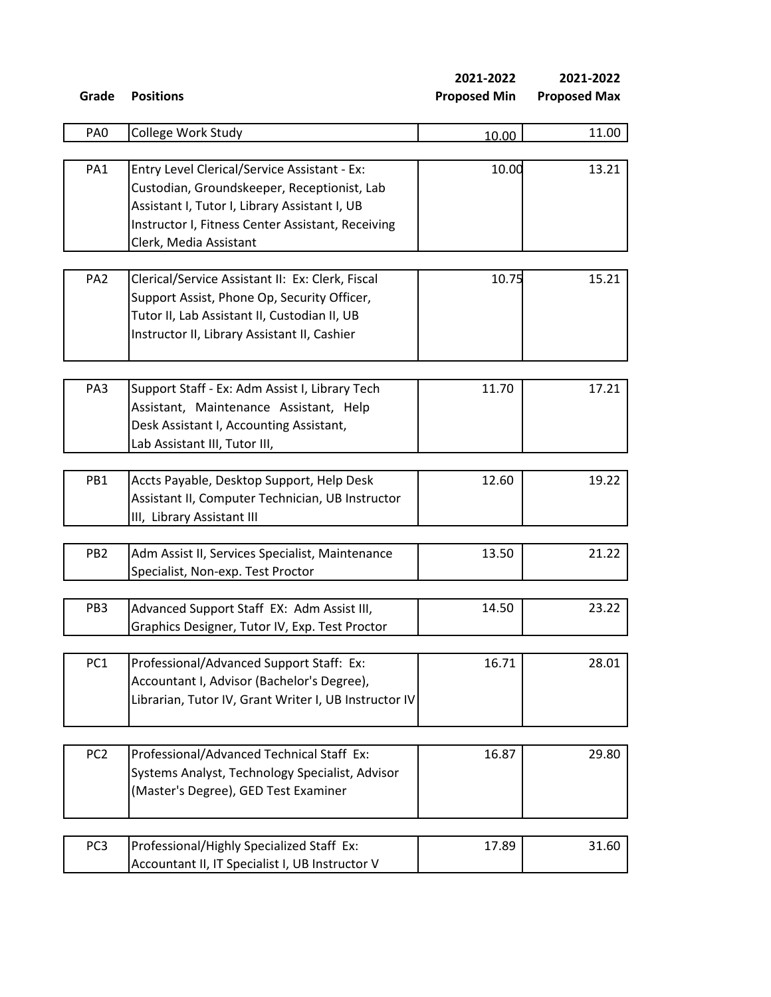**2021-2022 2021-2022**

| PA <sub>0</sub> | College Work Study                                    | 10.00 | 11.00 |
|-----------------|-------------------------------------------------------|-------|-------|
|                 |                                                       |       |       |
| PA1             | Entry Level Clerical/Service Assistant - Ex:          | 10.00 | 13.21 |
|                 | Custodian, Groundskeeper, Receptionist, Lab           |       |       |
|                 | Assistant I, Tutor I, Library Assistant I, UB         |       |       |
|                 | Instructor I, Fitness Center Assistant, Receiving     |       |       |
|                 | Clerk, Media Assistant                                |       |       |
|                 |                                                       |       |       |
| PA <sub>2</sub> | Clerical/Service Assistant II: Ex: Clerk, Fiscal      | 10.75 | 15.21 |
|                 | Support Assist, Phone Op, Security Officer,           |       |       |
|                 | Tutor II, Lab Assistant II, Custodian II, UB          |       |       |
|                 | Instructor II, Library Assistant II, Cashier          |       |       |
|                 |                                                       |       |       |
| PA3             | Support Staff - Ex: Adm Assist I, Library Tech        | 11.70 | 17.21 |
|                 | Assistant, Maintenance Assistant, Help                |       |       |
|                 | Desk Assistant I, Accounting Assistant,               |       |       |
|                 | Lab Assistant III, Tutor III,                         |       |       |
|                 |                                                       |       |       |
| PB1             | Accts Payable, Desktop Support, Help Desk             | 12.60 | 19.22 |
|                 | Assistant II, Computer Technician, UB Instructor      |       |       |
|                 | III, Library Assistant III                            |       |       |
|                 |                                                       |       |       |
| PB <sub>2</sub> | Adm Assist II, Services Specialist, Maintenance       | 13.50 | 21.22 |
|                 | Specialist, Non-exp. Test Proctor                     |       |       |
| PB <sub>3</sub> | Advanced Support Staff EX: Adm Assist III,            | 14.50 | 23.22 |
|                 | Graphics Designer, Tutor IV, Exp. Test Proctor        |       |       |
|                 |                                                       |       |       |
| PC <sub>1</sub> | Professional/Advanced Support Staff: Ex:              | 16.71 | 28.01 |
|                 | Accountant I, Advisor (Bachelor's Degree),            |       |       |
|                 | Librarian, Tutor IV, Grant Writer I, UB Instructor IV |       |       |
|                 |                                                       |       |       |
| PC <sub>2</sub> | Professional/Advanced Technical Staff Ex:             | 16.87 | 29.80 |
|                 | Systems Analyst, Technology Specialist, Advisor       |       |       |
|                 | (Master's Degree), GED Test Examiner                  |       |       |
|                 |                                                       |       |       |
| PC <sub>3</sub> | Professional/Highly Specialized Staff Ex:             | 17.89 | 31.60 |
|                 | Accountant II, IT Specialist I, UB Instructor V       |       |       |
|                 |                                                       |       |       |